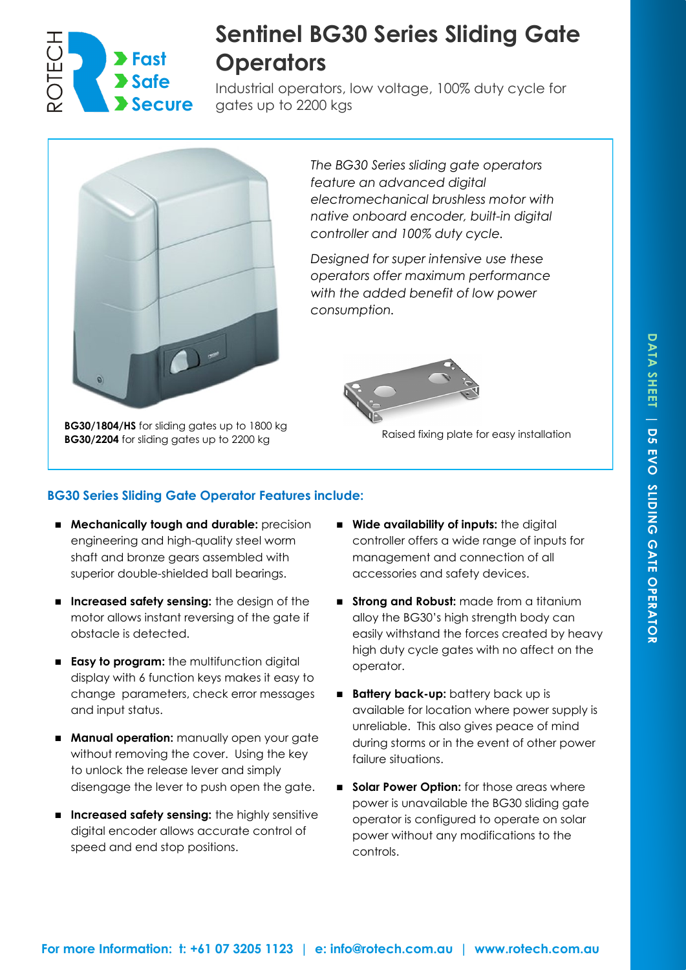

# **Sentinel BG30 Series Sliding Gate Operators**

Industrial operators, low voltage, 100% duty cycle for gates up to 2200 kgs



**BG30/1804/HS** for sliding gates up to 1800 kg **BG30/2204** for sliding gates up to 1000 kg<br>**BG30/2204** for sliding gates up to 2200 kg

*The BG30 Series sliding gate operators feature an advanced digital electromechanical brushless motor with native onboard encoder, built-in digital controller and 100% duty cycle.*

*Designed for super intensive use these operators offer maximum performance with the added benefit of low power consumption.*



## **BG30 Series Sliding Gate Operator Features include:**

- **Mechanically tough and durable:** precision engineering and high-quality steel worm shaft and bronze gears assembled with superior double-shielded ball bearings.
- Increased safety sensing: the design of the motor allows instant reversing of the gate if obstacle is detected.
- **Easy to program:** the multifunction digital display with 6 function keys makes it easy to change parameters, check error messages and input status.
- **Manual operation:** manually open your gate without removing the cover. Using the key to unlock the release lever and simply disengage the lever to push open the gate.
- Increased safety sensing: the highly sensitive digital encoder allows accurate control of speed and end stop positions.
- Wide availability of inputs: the digital controller offers a wide range of inputs for management and connection of all accessories and safety devices.
- **Strong and Robust:** made from a titanium alloy the BG30's high strength body can easily withstand the forces created by heavy high duty cycle gates with no affect on the operator.
- **Battery back-up:** battery back up is available for location where power supply is unreliable. This also gives peace of mind during storms or in the event of other power failure situations.
- **Solar Power Option:** for those areas where power is unavailable the BG30 sliding gate operator is configured to operate on solar power without any modifications to the controls.